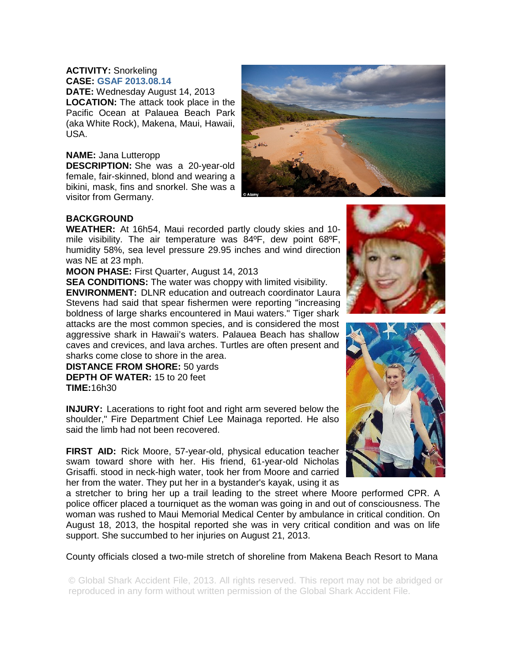## **ACTIVITY:** Snorkeling **CASE: GSAF 2013.08.14**

**DATE:** Wednesday August 14, 2013 **LOCATION:** The attack took place in the Pacific Ocean at Palauea Beach Park (aka White Rock), Makena, Maui, Hawaii, USA.

## **NAME:** Jana Lutteropp

**DESCRIPTION:** She was a 20-year-old female, fair-skinned, blond and wearing a bikini, mask, fins and snorkel. She was a visitor from Germany.



## **BACKGROUND**

**WEATHER:** At 16h54, Maui recorded partly cloudy skies and 10 mile visibility. The air temperature was 84ºF, dew point 68ºF, humidity 58%, sea level pressure 29.95 inches and wind direction was NE at 23 mph.

**MOON PHASE:** First Quarter, August 14, 2013

**SEA CONDITIONS:** The water was choppy with limited visibility. **ENVIRONMENT:** DLNR education and outreach coordinator Laura Stevens had said that spear fishermen were reporting "increasing boldness of large sharks encountered in Maui waters." Tiger shark attacks are the most common species, and is considered the most aggressive shark in Hawaii's waters. Palauea Beach has shallow caves and crevices, and lava arches. Turtles are often present and sharks come close to shore in the area.

**DISTANCE FROM SHORE:** 50 yards **DEPTH OF WATER:** 15 to 20 feet **TIME:**16h30

**INJURY:** Lacerations to right foot and right arm severed below the shoulder," Fire Department Chief Lee Mainaga reported. He also said the limb had not been recovered.

**FIRST AID:** Rick Moore, 57-year-old, physical education teacher swam toward shore with her. His friend, 61-year-old Nicholas Grisaffi. stood in neck-high water, took her from Moore and carried her from the water. They put her in a bystander's kayak, using it as

a stretcher to bring her up a trail leading to the street where Moore performed CPR. A police officer placed a tourniquet as the woman was going in and out of consciousness. The woman was rushed to Maui Memorial Medical Center by ambulance in critical condition. On August 18, 2013, the hospital reported she was in very critical condition and was on life support. She succumbed to her injuries on August 21, 2013.

County officials closed a two-mile stretch of shoreline from Makena Beach Resort to Mana

© Global Shark Accident File, 2013. All rights reserved. This report may not be abridged or reproduced in any form without written permission of the Global Shark Accident File.